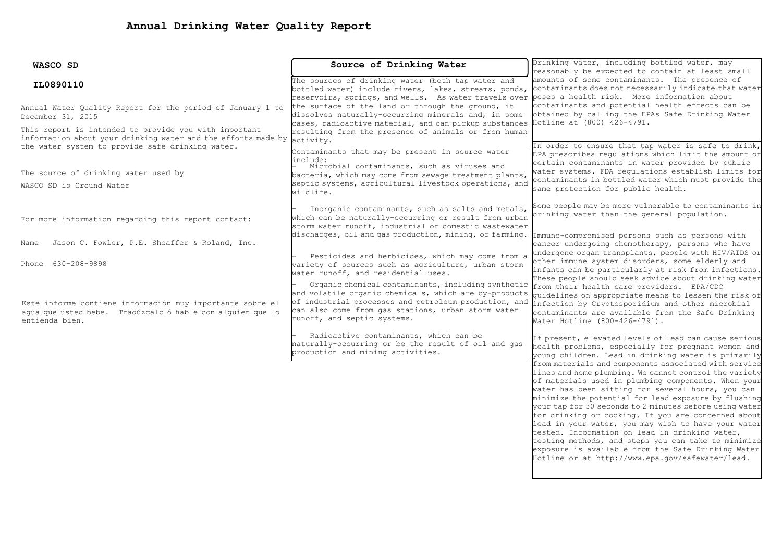| WASCO SD                                                      | Source of Drinking Water                                                                                         | Drinking water, including bottled water, may                                                         |  |  |
|---------------------------------------------------------------|------------------------------------------------------------------------------------------------------------------|------------------------------------------------------------------------------------------------------|--|--|
|                                                               |                                                                                                                  | reasonably be expected to contain at least small                                                     |  |  |
| IL0890110                                                     | The sources of drinking water (both tap water and                                                                | amounts of some contaminants. The presence of                                                        |  |  |
|                                                               | bottled water) include rivers, lakes, streams, ponds,                                                            | contaminants does not necessarily indicate that water                                                |  |  |
|                                                               | reservoirs, springs, and wells. As water travels over poses a health risk. More information about                |                                                                                                      |  |  |
| Annual Water Quality Report for the period of January 1 to    | the surface of the land or through the ground, it                                                                | contaminants and potential health effects can be<br>obtained by calling the EPAs Safe Drinking Water |  |  |
| December 31, 2015                                             | dissolves naturally-occurring minerals and, in some<br>cases, radioactive material, and can pickup substances    | Hotline at (800) 426-4791.                                                                           |  |  |
| This report is intended to provide you with important         | resulting from the presence of animals or from human                                                             |                                                                                                      |  |  |
| information about your drinking water and the efforts made by | activity.                                                                                                        |                                                                                                      |  |  |
| the water system to provide safe drinking water.              | Contaminants that may be present in source water                                                                 | In order to ensure that tap water is safe to drink,                                                  |  |  |
|                                                               | include:                                                                                                         | EPA prescribes regulations which limit the amount of                                                 |  |  |
|                                                               | Microbial contaminants, such as viruses and                                                                      | certain contaminants in water provided by public                                                     |  |  |
| The source of drinking water used by                          | bacteria, which may come from sewage treatment plants,                                                           | water systems. FDA regulations establish limits for                                                  |  |  |
| WASCO SD is Ground Water                                      | septic systems, agricultural livestock operations, and                                                           | contaminants in bottled water which must provide the                                                 |  |  |
|                                                               | wildlife.                                                                                                        | same protection for public health.                                                                   |  |  |
|                                                               |                                                                                                                  | Some people may be more vulnerable to contaminants in                                                |  |  |
|                                                               | Inorganic contaminants, such as salts and metals,                                                                | drinking water than the general population.                                                          |  |  |
| For more information regarding this report contact:           | which can be naturally-occurring or result from urban                                                            |                                                                                                      |  |  |
|                                                               | storm water runoff, industrial or domestic wastewater<br>discharges, oil and gas production, mining, or farming. |                                                                                                      |  |  |
| Jason C. Fowler, P.E. Sheaffer & Roland, Inc.<br>Name         |                                                                                                                  | Immuno-compromised persons such as persons with<br>cancer undergoing chemotherapy, persons who have  |  |  |
|                                                               |                                                                                                                  | undergone organ transplants, people with HIV/AIDS or                                                 |  |  |
|                                                               | Pesticides and herbicides, which may come from a                                                                 | other immune system disorders, some elderly and                                                      |  |  |
| Phone 630-208-9898                                            | wariety of sources such as agriculture, urban storm                                                              | infants can be particularly at risk from infections.                                                 |  |  |
|                                                               | water runoff, and residential uses.                                                                              | These people should seek advice about drinking water                                                 |  |  |
|                                                               | Organic chemical contaminants, including synthetic                                                               | from their health care providers. EPA/CDC                                                            |  |  |
|                                                               | and volatile organic chemicals, which are by-products                                                            | quidelines on appropriate means to lessen the risk of                                                |  |  |
| Este informe contiene información muy importante sobre el     | of industrial processes and petroleum production, and                                                            | infection by Cryptosporidium and other microbial                                                     |  |  |
| agua que usted bebe. Tradúzcalo ó hable con alguien que lo    | can also come from gas stations, urban storm water<br>runoff, and septic systems.                                | contaminants are available from the Safe Drinking                                                    |  |  |
| entienda bien.                                                |                                                                                                                  | Water Hotline (800-426-4791).                                                                        |  |  |
|                                                               | Radioactive contaminants, which can be                                                                           | If present, elevated levels of lead can cause serious                                                |  |  |
|                                                               | naturally-occurring or be the result of oil and gas                                                              | health problems, especially for pregnant women and                                                   |  |  |
|                                                               | production and mining activities.                                                                                | voung children. Lead in drinking water is primarily                                                  |  |  |
|                                                               |                                                                                                                  | from materials and components associated with service                                                |  |  |
|                                                               |                                                                                                                  | lines and home plumbing. We cannot control the variety                                               |  |  |
|                                                               |                                                                                                                  | of materials used in plumbing components. When your                                                  |  |  |
|                                                               |                                                                                                                  | water has been sitting for several hours, you can                                                    |  |  |
|                                                               |                                                                                                                  | minimize the potential for lead exposure by flushing                                                 |  |  |
|                                                               |                                                                                                                  | your tap for 30 seconds to 2 minutes before using water                                              |  |  |
|                                                               |                                                                                                                  | for drinking or cooking. If you are concerned about                                                  |  |  |
|                                                               |                                                                                                                  | lead in your water, you may wish to have your water                                                  |  |  |
|                                                               |                                                                                                                  | tested. Information on lead in drinking water,                                                       |  |  |

testing methods, and steps you can take to minimize exposure is available from the Safe Drinking Water Hotline or at http://www.epa.gov/safewater/lead.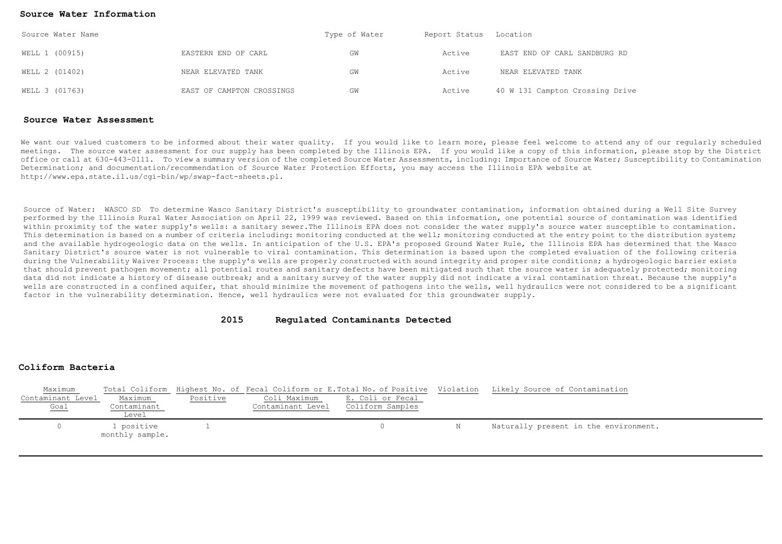#### **Source Water Information**

| Source Water Name |                           | Type of Water | Report Status Location |                                 |  |
|-------------------|---------------------------|---------------|------------------------|---------------------------------|--|
| WELL 1 (00915)    | EASTERN END OF CARL       | GW            | Active                 | EAST END OF CARL SANDBURG RD    |  |
| WELL 2 (01402)    | NEAR ELEVATED TANK        | GW            | Active                 | NEAR ELEVATED TANK              |  |
| WELL 3 (01763)    | EAST OF CAMPTON CROSSINGS | GW            | Active                 | 40 W 131 Campton Crossing Drive |  |

#### **Source Water Assessment**

We want our valued customers to be informed about their water quality. If you would like to learn more, please feel welcome to attend any of our reqularly scheduled meetings. The source water assessment for our supply has been completed by the Illinois EPA. If you would like a copy of this information, please stop by the District office or call at 630-443-0111. To view a summary version of the completed Source Water Assessments, including: Importance of Source Water; Susceptibility to Contamination Determination; and documentation/recommendation of Source Water Protection Efforts, you may access the Illinois EPA website at http://www.epa.state.il.us/cgi-bin/wp/swap-fact-sheets.pl.

Source of Water: WASCO SD To determine Wasco Sanitary District's susceptibility to groundwater contamination, information obtained during a Well Site Survey performed by the Illinois Rural Water Association on April 22, 1999 was reviewed. Based on this information, one potential source of contamination was identified within proximity tof the water supply's wells: a sanitary sewer.The Illinois EPA does not consider the water supply's source water susceptible to contamination. This determination is based on a number of criteria including: monitoring conducted at the monitoring conducted at the entry point to the distribution system; and the available hydrogeologic data on the wells. In anticipation of the U.S. EPA's proposed Ground Water Rule, the Illinois EPA has determined that the Wasco Sanitary District's source water is not vulnerable to viral contamination. This determination is based upon the completed evaluation of the following criteria during the Vulnerability Waiver Process: the supply's wells are properly constructed with sound integrity and proper site conditions; a hydrogeologic barrier exists that should prevent pathogen movement; all potential routes and sanitary defects have been mitigated such that the source water is adequately protected; monitoring data did not indicate a history of disease outbreak; and a sanitary survey of the water supply did not indicate a viral contamination threat. Because the supply's wells are constructed in a confined aquifer, that should minimize the movement of pathogens into the wells, well hydraulics were not considered to be a significant factor in the vulnerability determination. Hence, well hydraulics were not evaluated for this groundwater supply.

# **2015 Regulated Contaminants Detected**

## **Coliform Bacteria**

| Maximum           |                               |          |                   | Total Coliform Highest No. of Fecal Coliform or E.Total No. of Positive Violation | Likely Source of Contamination        |
|-------------------|-------------------------------|----------|-------------------|-----------------------------------------------------------------------------------|---------------------------------------|
| Contaminant Level | Maximum                       | Positive | Coli Maximum      | E. Coli or Fecal                                                                  |                                       |
| $\frac{Goal}{}$   | Contaminant                   |          | Contaminant Level | Coliform Samples                                                                  |                                       |
|                   | Level                         |          |                   |                                                                                   |                                       |
|                   | l positive<br>monthly sample. |          |                   |                                                                                   | Naturally present in the environment. |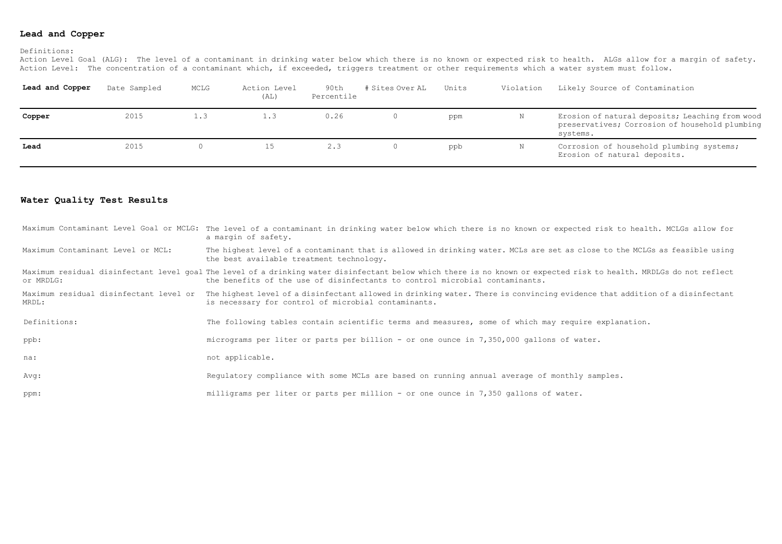# **Lead and Copper**

#### Definitions:

Action Level Goal (ALG): The level of a contaminant in drinking water below which there is no known or expected risk to health. ALGs allow for a margin of safety. Action Level: The concentration of a contaminant which, if exceeded, triggers treatment or other requirements which a water system must follow.

| Lead and Copper | Date Sampled | MCLG | Action Level<br>(AL) | 90th<br>Percentile | # Sites Over AL | Units | Violation | Likely Source of Contamination                                                                                |
|-----------------|--------------|------|----------------------|--------------------|-----------------|-------|-----------|---------------------------------------------------------------------------------------------------------------|
| Copper          | 2015         | 1.3  | 1.3                  | 0.26               |                 | ppm   | N         | Erosion of natural deposits; Leaching from wood<br>preservatives; Corrosion of household plumbing<br>systems. |
| Lead            | 2015         |      | 15                   | 2.3                |                 | ppb   | Ν         | Corrosion of household plumbing systems;<br>Erosion of natural deposits.                                      |

### **Water Quality Test Results**

|                                   | Maximum Contaminant Level Goal or MCLG: The level of a contaminant in drinking water below which there is no known or expected risk to health. MCLGs allow for<br>a margin of safety.                                                              |
|-----------------------------------|----------------------------------------------------------------------------------------------------------------------------------------------------------------------------------------------------------------------------------------------------|
| Maximum Contaminant Level or MCL: | The highest level of a contaminant that is allowed in drinking water. MCLs are set as close to the MCLGs as feasible using<br>the best available treatment technology.                                                                             |
| or MRDLG:                         | Maximum residual disinfectant level qoal The level of a drinking water disinfectant below which there is no known or expected risk to health. MRDLGs do not reflect<br>the benefits of the use of disinfectants to control microbial contaminants. |
| MRDL:                             | Maximum residual disinfectant level or The highest level of a disinfectant allowed in drinking water. There is convincing evidence that addition of a disinfectant<br>is necessary for control of microbial contaminants.                          |
| Definitions:                      | The following tables contain scientific terms and measures, some of which may require explanation.                                                                                                                                                 |
| ppb:                              | micrograms per liter or parts per billion - or one ounce in 7,350,000 gallons of water.                                                                                                                                                            |
| na:                               | not applicable.                                                                                                                                                                                                                                    |
| Avg:                              | Requlatory compliance with some MCLs are based on running annual average of monthly samples.                                                                                                                                                       |
| ppm:                              | milligrams per liter or parts per million - or one ounce in 7,350 gallons of water.                                                                                                                                                                |